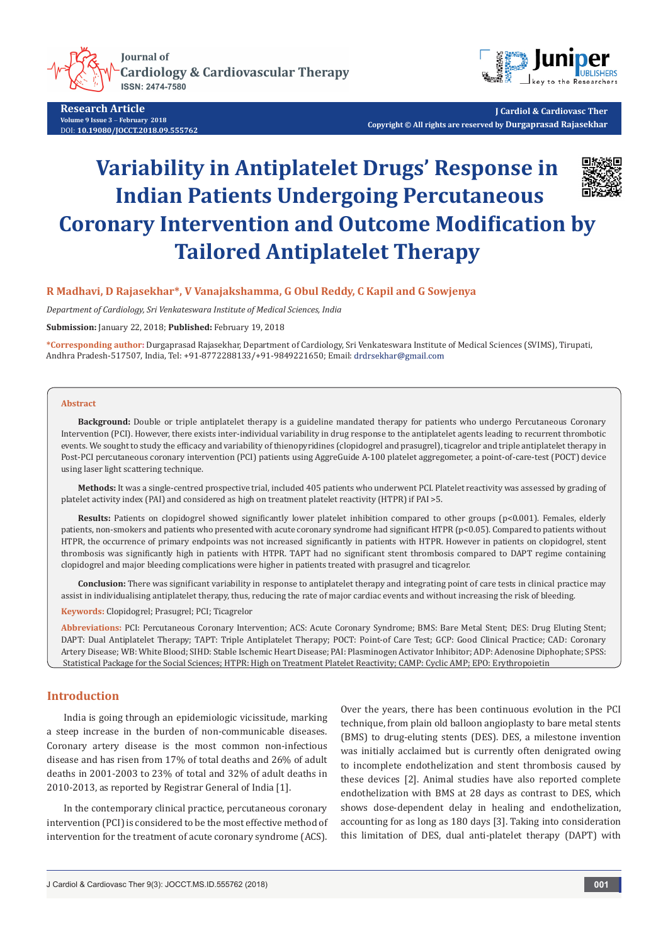**Journal of Cardiology & Cardiovascular Therapy ISSN: 2474-7580** 



**Research Article Volume 9 Issue 3** - **February 2018** DOI: **[10.19080/JOCCT.2018.09.555762](http://dx.doi.org/10.19080/JOCCT.2018.09.555762)**

**J Cardiol & Cardiovasc Ther Copyright © All rights are reserved by Durgaprasad Rajasekhar**

# **Variability in Antiplatelet Drugs' Response in Indian Patients Undergoing Percutaneous Coronary Intervention and Outcome Modification by Tailored Antiplatelet Therapy**

## **R Madhavi, D Rajasekhar\*, V Vanajakshamma, G Obul Reddy, C Kapil and G Sowjenya**

*Department of Cardiology, Sri Venkateswara Institute of Medical Sciences, India*

**Submission:** January 22, 2018; **Published:** February 19, 2018

**\*Corresponding author:** Durgaprasad Rajasekhar, Department of Cardiology, Sri Venkateswara Institute of Medical Sciences (SVIMS), Tirupati, Andhra Pradesh-517507, India, Tel: +91-8772288133/+91-9849221650; Email:

#### **Abstract**

**Background:** Double or triple antiplatelet therapy is a guideline mandated therapy for patients who undergo Percutaneous Coronary Intervention (PCI). However, there exists inter-individual variability in drug response to the antiplatelet agents leading to recurrent thrombotic events. We sought to study the efficacy and variability of thienopyridines (clopidogrel and prasugrel), ticagrelor and triple antiplatelet therapy in Post-PCI percutaneous coronary intervention (PCI) patients using AggreGuide A-100 platelet aggregometer, a point-of-care-test (POCT) device using laser light scattering technique.

**Methods:** It was a single-centred prospective trial, included 405 patients who underwent PCI. Platelet reactivity was assessed by grading of platelet activity index (PAI) and considered as high on treatment platelet reactivity (HTPR) if PAI >5.

**Results:** Patients on clopidogrel showed significantly lower platelet inhibition compared to other groups (p<0.001). Females, elderly patients, non-smokers and patients who presented with acute coronary syndrome had significant HTPR (p<0.05). Compared to patients without HTPR, the occurrence of primary endpoints was not increased significantly in patients with HTPR. However in patients on clopidogrel, stent thrombosis was significantly high in patients with HTPR. TAPT had no significant stent thrombosis compared to DAPT regime containing clopidogrel and major bleeding complications were higher in patients treated with prasugrel and ticagrelor.

**Conclusion:** There was significant variability in response to antiplatelet therapy and integrating point of care tests in clinical practice may assist in individualising antiplatelet therapy, thus, reducing the rate of major cardiac events and without increasing the risk of bleeding.

**Keywords:** Clopidogrel; Prasugrel; PCI; Ticagrelor

**Abbreviations:** PCI: Percutaneous Coronary Intervention; ACS: Acute Coronary Syndrome; BMS: Bare Metal Stent; DES: Drug Eluting Stent; DAPT: Dual Antiplatelet Therapy; TAPT: Triple Antiplatelet Therapy; POCT: Point-of Care Test; GCP: Good Clinical Practice; CAD: Coronary Artery Disease; WB: White Blood; SIHD: Stable Ischemic Heart Disease; PAI: Plasminogen Activator Inhibitor; ADP: Adenosine Diphophate; SPSS: Statistical Package for the Social Sciences; HTPR: High on Treatment Platelet Reactivity; CAMP: Cyclic AMP; EPO: Erythropoietin

## **Introduction**

India is going through an epidemiologic vicissitude, marking a steep increase in the burden of non-communicable diseases. Coronary artery disease is the most common non-infectious disease and has risen from 17% of total deaths and 26% of adult deaths in 2001-2003 to 23% of total and 32% of adult deaths in 2010-2013, as reported by Registrar General of India [1].

In the contemporary clinical practice, percutaneous coronary intervention (PCI) is considered to be the most effective method of intervention for the treatment of acute coronary syndrome (ACS).

Over the years, there has been continuous evolution in the PCI technique, from plain old balloon angioplasty to bare metal stents (BMS) to drug-eluting stents (DES). DES, a milestone invention was initially acclaimed but is currently often denigrated owing to incomplete endothelization and stent thrombosis caused by these devices [2]. Animal studies have also reported complete endothelization with BMS at 28 days as contrast to DES, which shows dose-dependent delay in healing and endothelization, accounting for as long as 180 days [3]. Taking into consideration this limitation of DES, dual anti-platelet therapy (DAPT) with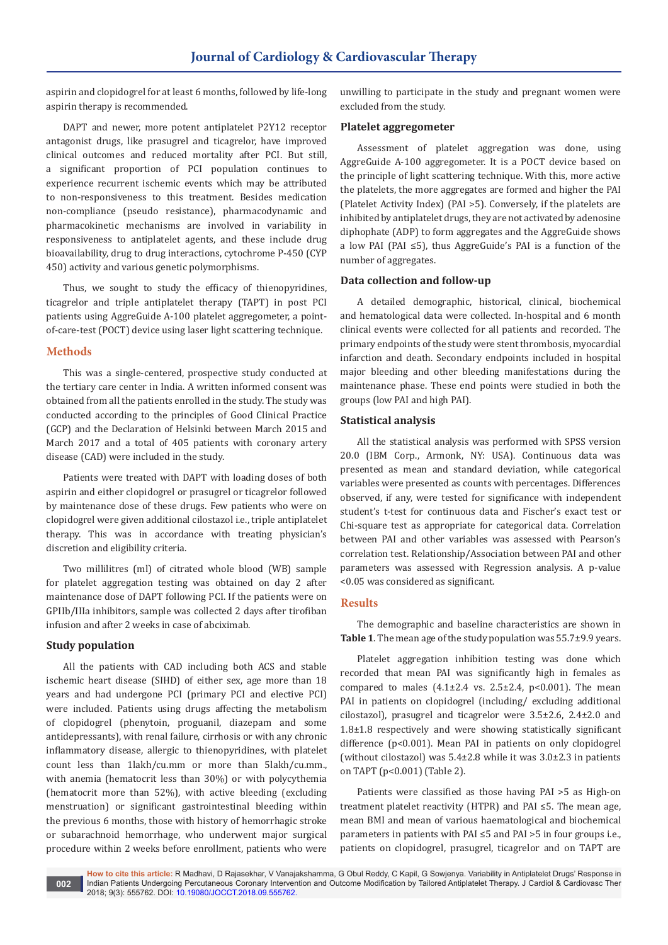aspirin and clopidogrel for at least 6 months, followed by life-long aspirin therapy is recommended.

DAPT and newer, more potent antiplatelet P2Y12 receptor antagonist drugs, like prasugrel and ticagrelor, have improved clinical outcomes and reduced mortality after PCI. But still, a significant proportion of PCI population continues to experience recurrent ischemic events which may be attributed to non-responsiveness to this treatment. Besides medication non-compliance (pseudo resistance), pharmacodynamic and pharmacokinetic mechanisms are involved in variability in responsiveness to antiplatelet agents, and these include drug bioavailability, drug to drug interactions, cytochrome P-450 (CYP 450) activity and various genetic polymorphisms.

Thus, we sought to study the efficacy of thienopyridines, ticagrelor and triple antiplatelet therapy (TAPT) in post PCI patients using AggreGuide A-100 platelet aggregometer, a pointof-care-test (POCT) device using laser light scattering technique.

## **Methods**

This was a single-centered, prospective study conducted at the tertiary care center in India. A written informed consent was obtained from all the patients enrolled in the study. The study was conducted according to the principles of Good Clinical Practice (GCP) and the Declaration of Helsinki between March 2015 and March 2017 and a total of 405 patients with coronary artery disease (CAD) were included in the study.

Patients were treated with DAPT with loading doses of both aspirin and either clopidogrel or prasugrel or ticagrelor followed by maintenance dose of these drugs. Few patients who were on clopidogrel were given additional cilostazol i.e., triple antiplatelet therapy. This was in accordance with treating physician's discretion and eligibility criteria.

Two millilitres (ml) of citrated whole blood (WB) sample for platelet aggregation testing was obtained on day 2 after maintenance dose of DAPT following PCI. If the patients were on GPIIb/IIIa inhibitors, sample was collected 2 days after tirofiban infusion and after 2 weeks in case of abciximab.

#### **Study population**

All the patients with CAD including both ACS and stable ischemic heart disease (SIHD) of either sex, age more than 18 years and had undergone PCI (primary PCI and elective PCI) were included. Patients using drugs affecting the metabolism of clopidogrel (phenytoin, proguanil, diazepam and some antidepressants), with renal failure, cirrhosis or with any chronic inflammatory disease, allergic to thienopyridines, with platelet count less than 1lakh/cu.mm or more than 5lakh/cu.mm., with anemia (hematocrit less than 30%) or with polycythemia (hematocrit more than 52%), with active bleeding (excluding menstruation) or significant gastrointestinal bleeding within the previous 6 months, those with history of hemorrhagic stroke or subarachnoid hemorrhage, who underwent major surgical procedure within 2 weeks before enrollment, patients who were

unwilling to participate in the study and pregnant women were excluded from the study.

#### **Platelet aggregometer**

Assessment of platelet aggregation was done, using AggreGuide A-100 aggregometer. It is a POCT device based on the principle of light scattering technique. With this, more active the platelets, the more aggregates are formed and higher the PAI (Platelet Activity Index) (PAI >5). Conversely, if the platelets are inhibited by antiplatelet drugs, they are not activated by adenosine diphophate (ADP) to form aggregates and the AggreGuide shows a low PAI (PAI ≤5), thus AggreGuide's PAI is a function of the number of aggregates.

#### **Data collection and follow-up**

A detailed demographic, historical, clinical, biochemical and hematological data were collected. In-hospital and 6 month clinical events were collected for all patients and recorded. The primary endpoints of the study were stent thrombosis, myocardial infarction and death. Secondary endpoints included in hospital major bleeding and other bleeding manifestations during the maintenance phase. These end points were studied in both the groups (low PAI and high PAI).

#### **Statistical analysis**

All the statistical analysis was performed with SPSS version 20.0 (IBM Corp., Armonk, NY: USA). Continuous data was presented as mean and standard deviation, while categorical variables were presented as counts with percentages. Differences observed, if any, were tested for significance with independent student's t-test for continuous data and Fischer's exact test or Chi-square test as appropriate for categorical data. Correlation between PAI and other variables was assessed with Pearson's correlation test. Relationship/Association between PAI and other parameters was assessed with Regression analysis. A p-value <0.05 was considered as significant.

#### **Results**

The demographic and baseline characteristics are shown in **Table 1**. The mean age of the study population was 55.7±9.9 years.

Platelet aggregation inhibition testing was done which recorded that mean PAI was significantly high in females as compared to males  $(4.1\pm2.4 \text{ vs. } 2.5\pm2.4, \text{ p}<0.001)$ . The mean PAI in patients on clopidogrel (including/ excluding additional cilostazol), prasugrel and ticagrelor were 3.5±2.6, 2.4±2.0 and 1.8±1.8 respectively and were showing statistically significant difference (p<0.001). Mean PAI in patients on only clopidogrel (without cilostazol) was 5.4±2.8 while it was 3.0±2.3 in patients on TAPT (p<0.001) (Table 2).

Patients were classified as those having PAI >5 as High-on treatment platelet reactivity (HTPR) and PAI ≤5. The mean age, mean BMI and mean of various haematological and biochemical parameters in patients with PAI ≤5 and PAI >5 in four groups i.e., patients on clopidogrel, prasugrel, ticagrelor and on TAPT are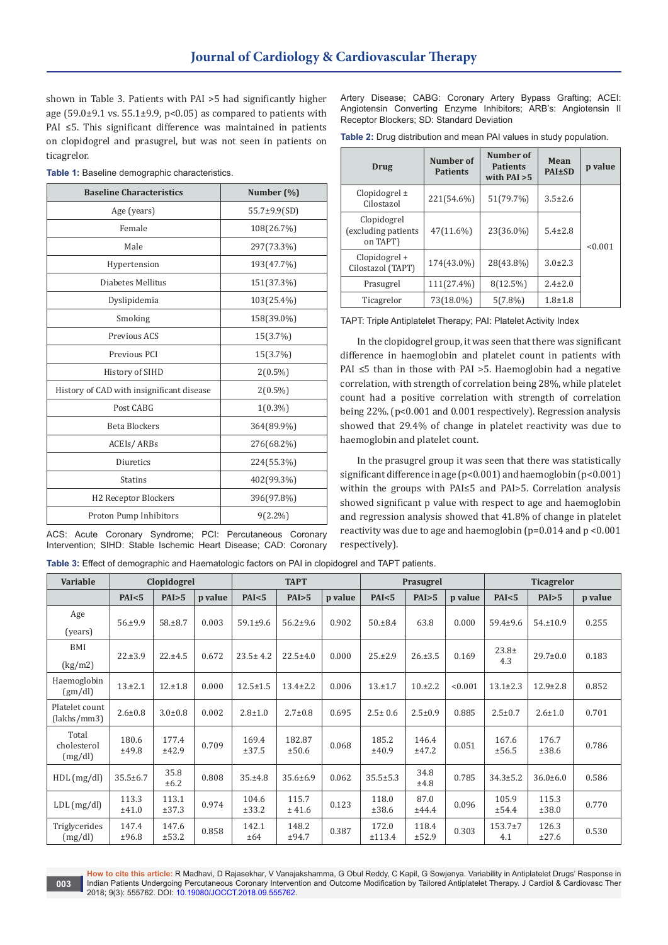shown in Table 3. Patients with PAI >5 had significantly higher age (59.0 $\pm$ 9.1 vs. 55.1 $\pm$ 9.9, p<0.05) as compared to patients with PAI ≤5. This significant difference was maintained in patients on clopidogrel and prasugrel, but was not seen in patients on ticagrelor.

**Table 1:** Baseline demographic characteristics.

| <b>Baseline Characteristics</b>           | Number (%)         |  |  |
|-------------------------------------------|--------------------|--|--|
| Age (years)                               | $55.7 \pm 9.9(SD)$ |  |  |
| Female                                    | 108(26.7%)         |  |  |
| Male                                      | 297(73.3%)         |  |  |
| Hypertension                              | 193(47.7%)         |  |  |
| Diabetes Mellitus                         | 151(37.3%)         |  |  |
| Dyslipidemia                              | 103(25.4%)         |  |  |
| Smoking                                   | 158(39.0%)         |  |  |
| Previous ACS                              | 15(3.7%)           |  |  |
| Previous PCI                              | 15(3.7%)           |  |  |
| History of SIHD                           | $2(0.5\%)$         |  |  |
| History of CAD with insignificant disease | $2(0.5\%)$         |  |  |
| Post CABG                                 | $1(0.3\%)$         |  |  |
| <b>Beta Blockers</b>                      | 364(89.9%)         |  |  |
| ACEIs/ARBs                                | 276(68.2%)         |  |  |
| Diuretics                                 | 224(55.3%)         |  |  |
| <b>Statins</b>                            | 402(99.3%)         |  |  |
| H2 Receptor Blockers                      | 396(97.8%)         |  |  |
| Proton Pump Inhibitors                    | $9(2.2\%)$         |  |  |

ACS: Acute Coronary Syndrome; PCI: Percutaneous Coronary Intervention; SIHD: Stable Ischemic Heart Disease; CAD: Coronary

**003**

Artery Disease; CABG: Coronary Artery Bypass Grafting; ACEI: Angiotensin Converting Enzyme Inhibitors; ARB's: Angiotensin II Receptor Blockers; SD: Standard Deviation

| <b>Table 2:</b> Drug distribution and mean PAI values in study population. |  |
|----------------------------------------------------------------------------|--|
|----------------------------------------------------------------------------|--|

| <b>Drug</b>                                     | Number of<br>Number of<br><b>Patients</b><br><b>Patients</b><br>with $PAI > 5$ |            | Mean<br><b>PAI±SD</b> | p value |
|-------------------------------------------------|--------------------------------------------------------------------------------|------------|-----------------------|---------|
| $Clopidogrel \pm$<br>Cilostazol                 | 221(54.6%)                                                                     | 51(79.7%)  | $3.5 \pm 2.6$         |         |
| Clopidogrel<br>(excluding patients)<br>on TAPT) | 47(11.6%)                                                                      | 23(36.0%)  | $5.4 \pm 2.8$         | < 0.001 |
| Clopidogrel +<br>Cilostazol (TAPT)              | 174(43.0%)                                                                     | 28(43.8%)  | $3.0 \pm 2.3$         |         |
| Prasugrel                                       | 111(27.4%)                                                                     | 8(12.5%)   | $2.4 \pm 2.0$         |         |
| Ticagrelor                                      | 73(18.0%)                                                                      | $5(7.8\%)$ | $1.8 + 1.8$           |         |

TAPT: Triple Antiplatelet Therapy; PAI: Platelet Activity Index

In the clopidogrel group, it was seen that there was significant difference in haemoglobin and platelet count in patients with PAI ≤5 than in those with PAI >5. Haemoglobin had a negative correlation, with strength of correlation being 28%, while platelet count had a positive correlation with strength of correlation being 22%. (p<0.001 and 0.001 respectively). Regression analysis showed that 29.4% of change in platelet reactivity was due to haemoglobin and platelet count.

In the prasugrel group it was seen that there was statistically significant difference in age (p<0.001) and haemoglobin (p<0.001) within the groups with PAI≤5 and PAI>5. Correlation analysis showed significant p value with respect to age and haemoglobin and regression analysis showed that 41.8% of change in platelet reactivity was due to age and haemoglobin (p=0.014 and p <0.001 respectively).

**Table 3:** Effect of demographic and Haematologic factors on PAI in clopidogrel and TAPT patients.

| <b>Variable</b>                 |                | Clopidogrel    |         | <b>TAPT</b>    |                 | Prasugrel |                 |                | <b>Ticagrelor</b> |                  |                |         |
|---------------------------------|----------------|----------------|---------|----------------|-----------------|-----------|-----------------|----------------|-------------------|------------------|----------------|---------|
|                                 | PAI < 5        | PAI>5          | p value | PAI < 5        | PAI>5           | p value   | PAI < 5         | PAI>5          | p value           | PAI < 5          | PAI>5          | p value |
| Age<br>(years)                  | 56.±9.9        | $58. \pm 8.7$  | 0.003   | $59.1 \pm 9.6$ | $56.2 \pm 9.6$  | 0.902     | $50. \pm 8.4$   | 63.8           | 0.000             | $59.4 \pm 9.6$   | $54. \pm 10.9$ | 0.255   |
| BMI<br>(kg/m2)                  | 22.±3.9        | 22.±4.5        | 0.672   | $23.5 \pm 4.2$ | $22.5 \pm 4.0$  | 0.000     | $25. \pm 2.9$   | $26. \pm 3.5$  | 0.169             | $23.8+$<br>4.3   | $29.7 \pm 0.0$ | 0.183   |
| Haemoglobin<br>(gm/dl)          | 13.±2.1        | 12.±1.8        | 0.000   | $12.5 \pm 1.5$ | $13.4 \pm 2.2$  | 0.006     | 13.±1.7         | 10.12.2        | < 0.001           | $13.1 \pm 2.3$   | $12.9 \pm 2.8$ | 0.852   |
| Platelet count<br>(lakhs/mm3)   | $2.6 \pm 0.8$  | $3.0 \pm 0.8$  | 0.002   | $2.8 \pm 1.0$  | $2.7 \pm 0.8$   | 0.695     | $2.5 \pm 0.6$   | $2.5 \pm 0.9$  | 0.885             | $2.5 \pm 0.7$    | $2.6 \pm 1.0$  | 0.701   |
| Total<br>cholesterol<br>(mg/dl) | 180.6<br>±49.8 | 177.4<br>±42.9 | 0.709   | 169.4<br>±37.5 | 182.87<br>±50.6 | 0.068     | 185.2<br>±40.9  | 146.4<br>±47.2 | 0.051             | 167.6<br>±56.5   | 176.7<br>±38.6 | 0.786   |
| HDL(mg/dl)                      | $35.5 \pm 6.7$ | 35.8<br>±6.2   | 0.808   | 35.±4.8        | $35.6 \pm 6.9$  | 0.062     | $35.5 \pm 5.3$  | 34.8<br>±4.8   | 0.785             | $34.3 \pm 5.2$   | $36.0 \pm 6.0$ | 0.586   |
| $LDL$ (mg/dl)                   | 113.3<br>±41.0 | 113.1<br>±37.3 | 0.974   | 104.6<br>±33.2 | 115.7<br>± 41.6 | 0.123     | 118.0<br>±38.6  | 87.0<br>±44.4  | 0.096             | 105.9<br>±54.4   | 115.3<br>±38.0 | 0.770   |
| Triglycerides<br>(mg/dl)        | 147.4<br>±96.8 | 147.6<br>±53.2 | 0.858   | 142.1<br>±64   | 148.2<br>±94.7  | 0.387     | 172.0<br>±113.4 | 118.4<br>±52.9 | 0.303             | $153.7+7$<br>4.1 | 126.3<br>±27.6 | 0.530   |

**How to cite this article:** R Madhavi, D Rajasekhar, V Vanajakshamma, G Obul Reddy, C Kapil, G Sowjenya. Variability in Antiplatelet Drugs' Response in Indian Patients Undergoing Percutaneous Coronary Intervention and Outcome Modification by Tailored Antiplatelet Therapy. J Cardiol & Cardiovasc Ther 2018; 9(3): 555762. DOI: [10.19080/JOCCT.2018.09.555762](http://dx.doi.org/10.19080/JOCCT.2018.09.555762).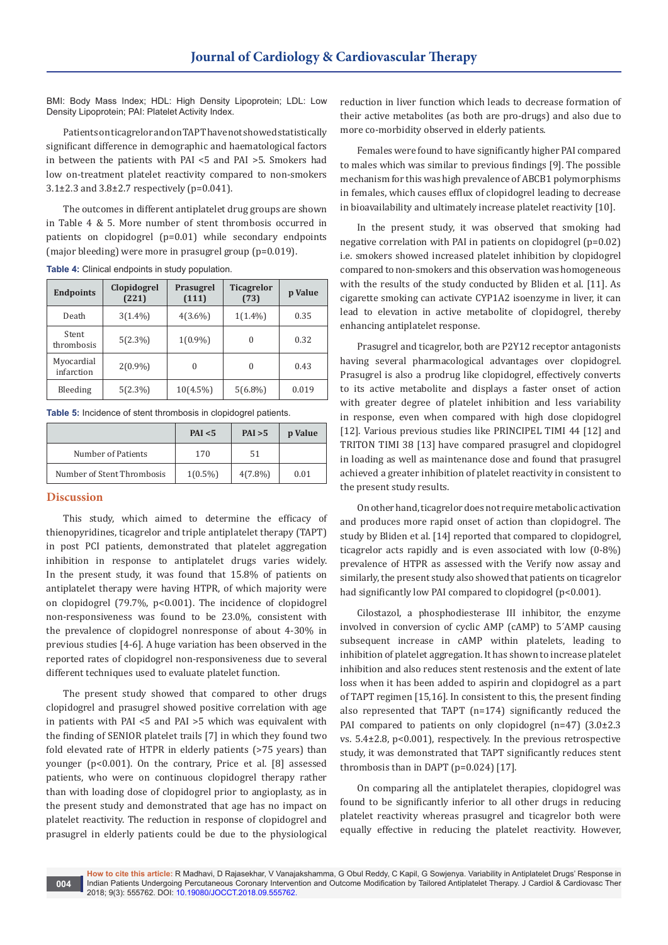BMI: Body Mass Index; HDL: High Density Lipoprotein; LDL: Low Density Lipoprotein; PAI: Platelet Activity Index.

Patients on ticagrelor and on TAPT have not showed statistically significant difference in demographic and haematological factors in between the patients with PAI <5 and PAI >5. Smokers had low on-treatment platelet reactivity compared to non-smokers 3.1±2.3 and 3.8±2.7 respectively (p=0.041).

The outcomes in different antiplatelet drug groups are shown in Table 4 & 5. More number of stent thrombosis occurred in patients on clopidogrel (p=0.01) while secondary endpoints (major bleeding) were more in prasugrel group (p=0.019).

| <b>Endpoints</b>         | Clopidogrel<br>(221) | <b>Prasugrel</b><br>(111) | <b>Ticagrelor</b><br>(73) | p Value |
|--------------------------|----------------------|---------------------------|---------------------------|---------|
| Death                    | $3(1.4\%)$           | $4(3.6\%)$                | $1(1.4\%)$                | 0.35    |
| Stent<br>thrombosis      | $5(2.3\%)$           | $1(0.9\%)$                | $\Omega$                  | 0.32    |
| Myocardial<br>infarction | $2(0.9\%)$           |                           | $\theta$                  | 0.43    |
| Bleeding                 | $5(2.3\%)$           | $10(4.5\%)$               | $5(6.8\%)$                | 0.019   |

**Table 4:** Clinical endpoints in study population.

**Table 5:** Incidence of stent thrombosis in clopidogrel patients.

|                            | PAI < 5    | PAI > 5    | p Value |
|----------------------------|------------|------------|---------|
| Number of Patients         | 170        | 51         |         |
| Number of Stent Thrombosis | $1(0.5\%)$ | $4(7.8\%)$ | 0.01    |

## **Discussion**

This study, which aimed to determine the efficacy of thienopyridines, ticagrelor and triple antiplatelet therapy (TAPT) in post PCI patients, demonstrated that platelet aggregation inhibition in response to antiplatelet drugs varies widely. In the present study, it was found that 15.8% of patients on antiplatelet therapy were having HTPR, of which majority were on clopidogrel (79.7%, p<0.001). The incidence of clopidogrel non-responsiveness was found to be 23.0%, consistent with the prevalence of clopidogrel nonresponse of about 4-30% in previous studies [4-6]. A huge variation has been observed in the reported rates of clopidogrel non-responsiveness due to several different techniques used to evaluate platelet function.

The present study showed that compared to other drugs clopidogrel and prasugrel showed positive correlation with age in patients with PAI <5 and PAI >5 which was equivalent with the finding of SENIOR platelet trails [7] in which they found two fold elevated rate of HTPR in elderly patients (>75 years) than younger (p<0.001). On the contrary, Price et al. [8] assessed patients, who were on continuous clopidogrel therapy rather than with loading dose of clopidogrel prior to angioplasty, as in the present study and demonstrated that age has no impact on platelet reactivity. The reduction in response of clopidogrel and prasugrel in elderly patients could be due to the physiological

reduction in liver function which leads to decrease formation of their active metabolites (as both are pro-drugs) and also due to more co-morbidity observed in elderly patients.

Females were found to have significantly higher PAI compared to males which was similar to previous findings [9]. The possible mechanism for this was high prevalence of ABCB1 polymorphisms in females, which causes efflux of clopidogrel leading to decrease in bioavailability and ultimately increase platelet reactivity [10].

In the present study, it was observed that smoking had negative correlation with PAI in patients on clopidogrel (p=0.02) i.e. smokers showed increased platelet inhibition by clopidogrel compared to non-smokers and this observation was homogeneous with the results of the study conducted by Bliden et al. [11]. As cigarette smoking can activate CYP1A2 isoenzyme in liver, it can lead to elevation in active metabolite of clopidogrel, thereby enhancing antiplatelet response.

Prasugrel and ticagrelor, both are P2Y12 receptor antagonists having several pharmacological advantages over clopidogrel. Prasugrel is also a prodrug like clopidogrel, effectively converts to its active metabolite and displays a faster onset of action with greater degree of platelet inhibition and less variability in response, even when compared with high dose clopidogrel [12]. Various previous studies like PRINCIPEL TIMI 44 [12] and TRITON TIMI 38 [13] have compared prasugrel and clopidogrel in loading as well as maintenance dose and found that prasugrel achieved a greater inhibition of platelet reactivity in consistent to the present study results.

On other hand, ticagrelor does not require metabolic activation and produces more rapid onset of action than clopidogrel. The study by Bliden et al. [14] reported that compared to clopidogrel, ticagrelor acts rapidly and is even associated with low (0-8%) prevalence of HTPR as assessed with the Verify now assay and similarly, the present study also showed that patients on ticagrelor had significantly low PAI compared to clopidogrel (p<0.001).

Cilostazol, a phosphodiesterase III inhibitor, the enzyme involved in conversion of cyclic AMP (cAMP) to 5´AMP causing subsequent increase in cAMP within platelets, leading to inhibition of platelet aggregation. It has shown to increase platelet inhibition and also reduces stent restenosis and the extent of late loss when it has been added to aspirin and clopidogrel as a part of TAPT regimen [15,16]. In consistent to this, the present finding also represented that TAPT (n=174) significantly reduced the PAI compared to patients on only clopidogrel (n=47) (3.0±2.3 vs. 5.4±2.8, p<0.001), respectively. In the previous retrospective study, it was demonstrated that TAPT significantly reduces stent thrombosis than in DAPT (p=0.024) [17].

On comparing all the antiplatelet therapies, clopidogrel was found to be significantly inferior to all other drugs in reducing platelet reactivity whereas prasugrel and ticagrelor both were equally effective in reducing the platelet reactivity. However,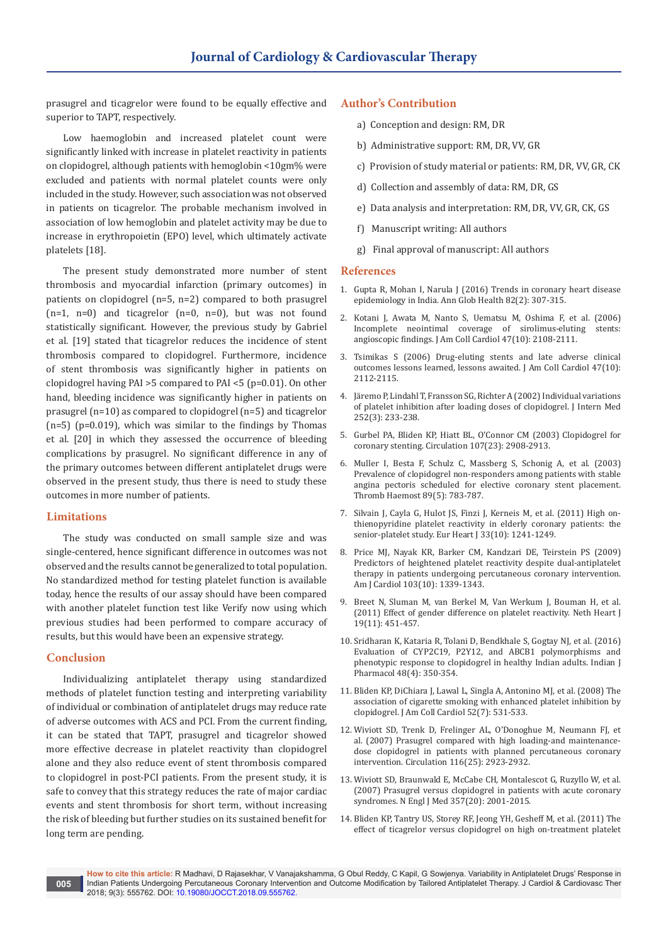prasugrel and ticagrelor were found to be equally effective and superior to TAPT, respectively.

Low haemoglobin and increased platelet count were significantly linked with increase in platelet reactivity in patients on clopidogrel, although patients with hemoglobin <10gm% were excluded and patients with normal platelet counts were only included in the study. However, such association was not observed in patients on ticagrelor. The probable mechanism involved in association of low hemoglobin and platelet activity may be due to increase in erythropoietin (EPO) level, which ultimately activate platelets [18].

The present study demonstrated more number of stent thrombosis and myocardial infarction (primary outcomes) in patients on clopidogrel (n=5, n=2) compared to both prasugrel  $(n=1, n=0)$  and ticagrelor  $(n=0, n=0)$ , but was not found statistically significant. However, the previous study by Gabriel et al. [19] stated that ticagrelor reduces the incidence of stent thrombosis compared to clopidogrel. Furthermore, incidence of stent thrombosis was significantly higher in patients on clopidogrel having PAI >5 compared to PAI <5 (p=0.01). On other hand, bleeding incidence was significantly higher in patients on prasugrel (n=10) as compared to clopidogrel (n=5) and ticagrelor  $(n=5)$  ( $p=0.019$ ), which was similar to the findings by Thomas et al. [20] in which they assessed the occurrence of bleeding complications by prasugrel. No significant difference in any of the primary outcomes between different antiplatelet drugs were observed in the present study, thus there is need to study these outcomes in more number of patients.

#### **Limitations**

The study was conducted on small sample size and was single-centered, hence significant difference in outcomes was not observed and the results cannot be generalized to total population. No standardized method for testing platelet function is available today, hence the results of our assay should have been compared with another platelet function test like Verify now using which previous studies had been performed to compare accuracy of results, but this would have been an expensive strategy.

#### **Conclusion**

Individualizing antiplatelet therapy using standardized methods of platelet function testing and interpreting variability of individual or combination of antiplatelet drugs may reduce rate of adverse outcomes with ACS and PCI. From the current finding, it can be stated that TAPT, prasugrel and ticagrelor showed more effective decrease in platelet reactivity than clopidogrel alone and they also reduce event of stent thrombosis compared to clopidogrel in post-PCI patients. From the present study, it is safe to convey that this strategy reduces the rate of major cardiac events and stent thrombosis for short term, without increasing the risk of bleeding but further studies on its sustained benefit for long term are pending.

## **Author's Contribution**

- a) Conception and design: RM, DR
- b) Administrative support: RM, DR, VV, GR
- c) Provision of study material or patients: RM, DR, VV, GR, CK
- d) Collection and assembly of data: RM, DR, GS
- e) Data analysis and interpretation: RM, DR, VV, GR, CK, GS
- f) Manuscript writing: All authors
- g) Final approval of manuscript: All authors

#### **References**

- 1. [Gupta R, Mohan I, Narula J \(2016\) Trends in coronary heart disease](https://www.ncbi.nlm.nih.gov/pubmed/27372534)  [epidemiology in India. Ann Glob Health 82\(2\): 307-315.](https://www.ncbi.nlm.nih.gov/pubmed/27372534)
- 2. [Kotani J, Awata M, Nanto S, Uematsu M, Oshima F, et al. \(2006\)](https://www.ncbi.nlm.nih.gov/pubmed/16697331)  [Incomplete neointimal coverage of sirolimus-eluting stents:](https://www.ncbi.nlm.nih.gov/pubmed/16697331)  [angioscopic findings. J Am Coll Cardiol 47\(10\): 2108-2111.](https://www.ncbi.nlm.nih.gov/pubmed/16697331)
- 3. [Tsimikas S \(2006\) Drug-eluting stents and late adverse clinical](https://www.ncbi.nlm.nih.gov/pubmed/16697332)  [outcomes lessons learned, lessons awaited. J Am Coll Cardiol 47\(10\):](https://www.ncbi.nlm.nih.gov/pubmed/16697332)  [2112-2115.](https://www.ncbi.nlm.nih.gov/pubmed/16697332)
- 4. [Järemo P, Lindahl T, Fransson SG, Richter A \(2002\) Individual variations](https://www.ncbi.nlm.nih.gov/pubmed/12270003)  [of platelet inhibition after loading doses of clopidogrel. J Intern Med](https://www.ncbi.nlm.nih.gov/pubmed/12270003)  [252\(3\): 233-238.](https://www.ncbi.nlm.nih.gov/pubmed/12270003)
- 5. [Gurbel PA, Bliden KP, Hiatt BL, O'Connor CM \(2003\) Clopidogrel for](http://circ.ahajournals.org/content/107/23/2908)  [coronary stenting. Circulation 107\(23\): 2908-2913.](http://circ.ahajournals.org/content/107/23/2908)
- 6. [Muller I, Besta F, Schulz C, Massberg S, Schonig A, et al. \(2003\)](https://www.ncbi.nlm.nih.gov/pubmed/12719773)  [Prevalence of clopidogrel non-responders among patients with stable](https://www.ncbi.nlm.nih.gov/pubmed/12719773)  [angina pectoris scheduled for elective coronary stent placement.](https://www.ncbi.nlm.nih.gov/pubmed/12719773)  [Thromb Haemost 89\(5\): 783-787.](https://www.ncbi.nlm.nih.gov/pubmed/12719773)
- 7. [Silvain J, Cayla G, Hulot JS, Finzi J, Kerneis M, et al. \(2011\) High on](https://www.ncbi.nlm.nih.gov/pubmed/22067090)[thienopyridine platelet reactivity in elderly coronary patients: the](https://www.ncbi.nlm.nih.gov/pubmed/22067090)  [senior-platelet study. Eur Heart J 33\(10\): 1241-1249.](https://www.ncbi.nlm.nih.gov/pubmed/22067090)
- 8. [Price MJ, Nayak KR, Barker CM, Kandzari DE, Teirstein PS \(2009\)](https://www.ncbi.nlm.nih.gov/pubmed/19427425)  [Predictors of heightened platelet reactivity despite dual-antiplatelet](https://www.ncbi.nlm.nih.gov/pubmed/19427425)  [therapy in patients undergoing percutaneous coronary intervention.](https://www.ncbi.nlm.nih.gov/pubmed/19427425)  [Am J Cardiol 103\(10\): 1339-1343.](https://www.ncbi.nlm.nih.gov/pubmed/19427425)
- 9. [Breet N, Sluman M, van Berkel M, Van Werkum J, Bouman H, et al.](https://www.ncbi.nlm.nih.gov/pubmed/21901505)  [\(2011\) Effect of gender difference on platelet reactivity. Neth Heart J](https://www.ncbi.nlm.nih.gov/pubmed/21901505)  [19\(11\): 451-457.](https://www.ncbi.nlm.nih.gov/pubmed/21901505)
- 10. [Sridharan K, Kataria R, Tolani D, Bendkhale S, Gogtay NJ, et al. \(2016\)](https://www.ncbi.nlm.nih.gov/pubmed/27756942/)  [Evaluation of CYP2C19, P2Y12, and ABCB1 polymorphisms and](https://www.ncbi.nlm.nih.gov/pubmed/27756942/)  [phenotypic response to clopidogrel in healthy Indian adults. Indian J](https://www.ncbi.nlm.nih.gov/pubmed/27756942/)  [Pharmacol 48\(4\): 350-354.](https://www.ncbi.nlm.nih.gov/pubmed/27756942/)
- 11. [Bliden KP, DiChiara J, Lawal L, Singla A, Antonino MJ, et al. \(2008\) The](https://www.ncbi.nlm.nih.gov/pubmed/18687246)  [association of cigarette smoking with enhanced platelet inhibition by](https://www.ncbi.nlm.nih.gov/pubmed/18687246)  [clopidogrel. J Am Coll Cardiol 52\(7\): 531-533.](https://www.ncbi.nlm.nih.gov/pubmed/18687246)
- 12. [Wiviott SD, Trenk D, Frelinger AL, O'Donoghue M, Neumann FJ, et](https://www.ncbi.nlm.nih.gov/pubmed/18056526)  [al. \(2007\) Prasugrel compared with high loading-and maintenance](https://www.ncbi.nlm.nih.gov/pubmed/18056526)[dose clopidogrel in patients with planned percutaneous coronary](https://www.ncbi.nlm.nih.gov/pubmed/18056526)  [intervention. Circulation 116\(25\): 2923-2932.](https://www.ncbi.nlm.nih.gov/pubmed/18056526)
- 13. [Wiviott SD, Braunwald E, McCabe CH, Montalescot G, Ruzyllo W, et al.](https://www.ncbi.nlm.nih.gov/pubmed/17982182)  [\(2007\) Prasugrel versus clopidogrel in patients with acute coronary](https://www.ncbi.nlm.nih.gov/pubmed/17982182)  [syndromes. N Engl J Med 357\(20\): 2001-2015.](https://www.ncbi.nlm.nih.gov/pubmed/17982182)
- 14. [Bliden KP, Tantry US, Storey RF, Jeong YH, Gesheff M, et al. \(2011\) The](https://www.ncbi.nlm.nih.gov/pubmed/21742103)  [effect of ticagrelor versus clopidogrel on high on-treatment platelet](https://www.ncbi.nlm.nih.gov/pubmed/21742103)